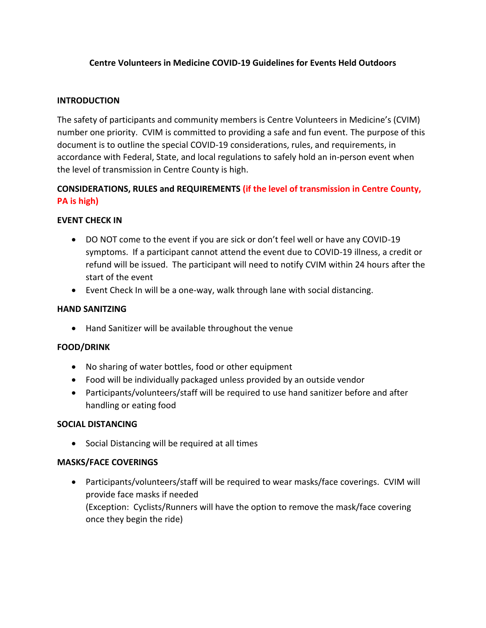# **Centre Volunteers in Medicine COVID-19 Guidelines for Events Held Outdoors**

## **INTRODUCTION**

The safety of participants and community members is Centre Volunteers in Medicine's (CVIM) number one priority. CVIM is committed to providing a safe and fun event. The purpose of this document is to outline the special COVID-19 considerations, rules, and requirements, in accordance with Federal, State, and local regulations to safely hold an in-person event when the level of transmission in Centre County is high.

# **CONSIDERATIONS, RULES and REQUIREMENTS (if the level of transmission in Centre County, PA is high)**

### **EVENT CHECK IN**

- DO NOT come to the event if you are sick or don't feel well or have any COVID-19 symptoms. If a participant cannot attend the event due to COVID-19 illness, a credit or refund will be issued. The participant will need to notify CVIM within 24 hours after the start of the event
- Event Check In will be a one-way, walk through lane with social distancing.

#### **HAND SANITZING**

Hand Sanitizer will be available throughout the venue

#### **FOOD/DRINK**

- No sharing of water bottles, food or other equipment
- Food will be individually packaged unless provided by an outside vendor
- Participants/volunteers/staff will be required to use hand sanitizer before and after handling or eating food

#### **SOCIAL DISTANCING**

• Social Distancing will be required at all times

#### **MASKS/FACE COVERINGS**

 Participants/volunteers/staff will be required to wear masks/face coverings. CVIM will provide face masks if needed (Exception: Cyclists/Runners will have the option to remove the mask/face covering once they begin the ride)